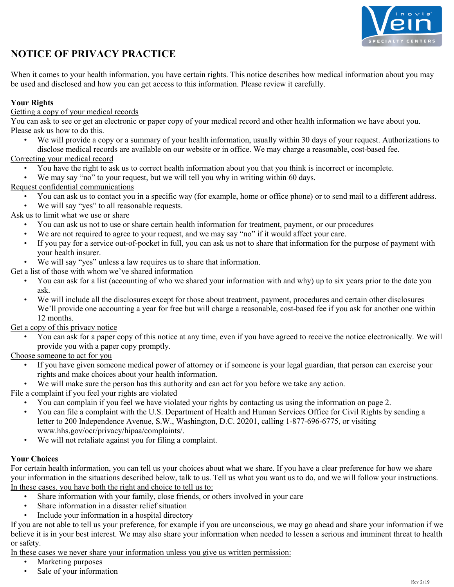

# **NOTICE OF PRIVACY PRACTICE**

When it comes to your health information, you have certain rights. This notice describes how medical information about you may be used and disclosed and how you can get access to this information. Please review it carefully.

## **Your Rights**

## Getting a copy of your medical records

You can ask to see or get an electronic or paper copy of your medical record and other health information we have about you. Please ask us how to do this.

• We will provide a copy or a summary of your health information, usually within 30 days of your request. Authorizations to disclose medical records are available on our website or in office. We may charge a reasonable, cost-based fee.

## Correcting your medical record

- You have the right to ask us to correct health information about you that you think is incorrect or incomplete.
- We may say "no" to your request, but we will tell you why in writing within 60 days.

## Request confidential communications

- You can ask us to contact you in a specific way (for example, home or office phone) or to send mail to a different address.
- We will say "yes" to all reasonable requests.

## Ask us to limit what we use or share

- You can ask us not to use or share certain health information for treatment, payment, or our procedures
- We are not required to agree to your request, and we may say "no" if it would affect your care.
- If you pay for a service out-of-pocket in full, you can ask us not to share that information for the purpose of payment with your health insurer.
- We will say "yes" unless a law requires us to share that information.

## Get a list of those with whom we've shared information

- You can ask for a list (accounting of who we shared your information with and why) up to six years prior to the date you ask.
- We will include all the disclosures except for those about treatment, payment, procedures and certain other disclosures We'll provide one accounting a year for free but will charge a reasonable, cost-based fee if you ask for another one within 12 months.

## Get a copy of this privacy notice

• You can ask for a paper copy of this notice at any time, even if you have agreed to receive the notice electronically. We will provide you with a paper copy promptly.

#### Choose someone to act for you

- If you have given someone medical power of attorney or if someone is your legal guardian, that person can exercise your rights and make choices about your health information.
- We will make sure the person has this authority and can act for you before we take any action.

## File a complaint if you feel your rights are violated

- You can complain if you feel we have violated your rights by contacting us using the information on page 2.
- You can file a complaint with the U.S. Department of Health and Human Services Office for Civil Rights by sending a letter to 200 Independence Avenue, S.W., Washington, D.C. 20201, calling 1-877-696-6775, or visiting www.hhs.gov/ocr/privacy/hipaa/complaints/.
- We will not retaliate against you for filing a complaint.

#### **Your Choices**

For certain health information, you can tell us your choices about what we share. If you have a clear preference for how we share your information in the situations described below, talk to us. Tell us what you want us to do, and we will follow your instructions. In these cases, you have both the right and choice to tell us to:

- Share information with your family, close friends, or others involved in your care
- Share information in a disaster relief situation
- Include your information in a hospital directory

If you are not able to tell us your preference, for example if you are unconscious, we may go ahead and share your information if we believe it is in your best interest. We may also share your information when needed to lessen a serious and imminent threat to health or safety.

In these cases we never share your information unless you give us written permission:

- Marketing purposes
- Sale of your information